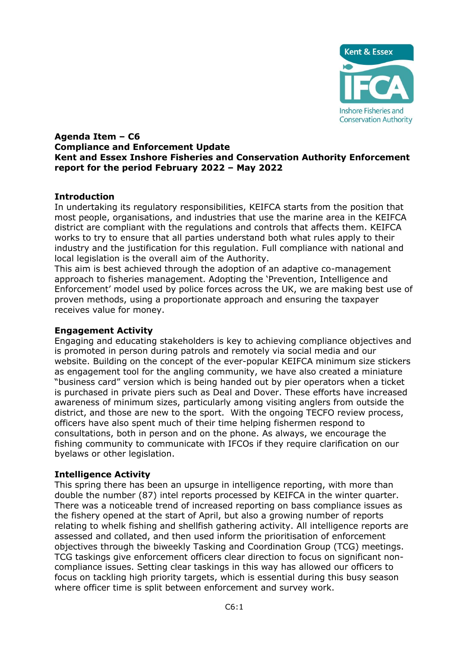

#### **Agenda Item – C6 Compliance and Enforcement Update Kent and Essex Inshore Fisheries and Conservation Authority Enforcement report for the period February 2022 – May 2022**

## **Introduction**

In undertaking its regulatory responsibilities, KEIFCA starts from the position that most people, organisations, and industries that use the marine area in the KEIFCA district are compliant with the regulations and controls that affects them. KEIFCA works to try to ensure that all parties understand both what rules apply to their industry and the justification for this regulation. Full compliance with national and local legislation is the overall aim of the Authority.

This aim is best achieved through the adoption of an adaptive co-management approach to fisheries management. Adopting the 'Prevention, Intelligence and Enforcement' model used by police forces across the UK, we are making best use of proven methods, using a proportionate approach and ensuring the taxpayer receives value for money.

### **Engagement Activity**

Engaging and educating stakeholders is key to achieving compliance objectives and is promoted in person during patrols and remotely via social media and our website. Building on the concept of the ever-popular KEIFCA minimum size stickers as engagement tool for the angling community, we have also created a miniature "business card" version which is being handed out by pier operators when a ticket is purchased in private piers such as Deal and Dover. These efforts have increased awareness of minimum sizes, particularly among visiting anglers from outside the district, and those are new to the sport. With the ongoing TECFO review process, officers have also spent much of their time helping fishermen respond to consultations, both in person and on the phone. As always, we encourage the fishing community to communicate with IFCOs if they require clarification on our byelaws or other legislation.

### **Intelligence Activity**

This spring there has been an upsurge in intelligence reporting, with more than double the number (87) intel reports processed by KEIFCA in the winter quarter. There was a noticeable trend of increased reporting on bass compliance issues as the fishery opened at the start of April, but also a growing number of reports relating to whelk fishing and shellfish gathering activity. All intelligence reports are assessed and collated, and then used inform the prioritisation of enforcement objectives through the biweekly Tasking and Coordination Group (TCG) meetings. TCG taskings give enforcement officers clear direction to focus on significant noncompliance issues. Setting clear taskings in this way has allowed our officers to focus on tackling high priority targets, which is essential during this busy season where officer time is split between enforcement and survey work.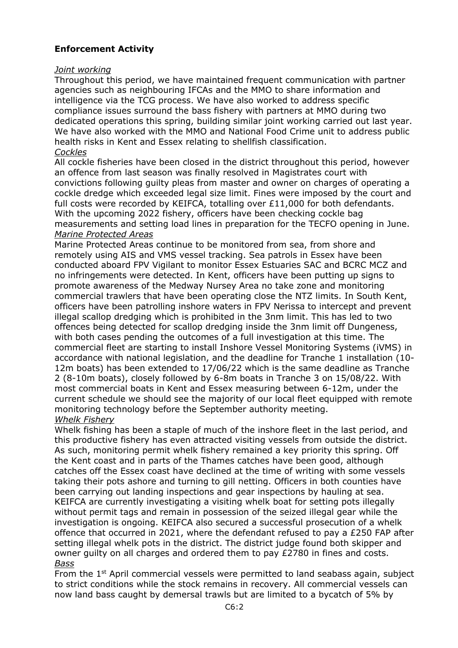# **Enforcement Activity**

### *Joint working*

Throughout this period, we have maintained frequent communication with partner agencies such as neighbouring IFCAs and the MMO to share information and intelligence via the TCG process. We have also worked to address specific compliance issues surround the bass fishery with partners at MMO during two dedicated operations this spring, building similar joint working carried out last year. We have also worked with the MMO and National Food Crime unit to address public health risks in Kent and Essex relating to shellfish classification. *Cockles* 

All cockle fisheries have been closed in the district throughout this period, however an offence from last season was finally resolved in Magistrates court with convictions following guilty pleas from master and owner on charges of operating a cockle dredge which exceeded legal size limit. Fines were imposed by the court and full costs were recorded by KEIFCA, totalling over £11,000 for both defendants. With the upcoming 2022 fishery, officers have been checking cockle bag measurements and setting load lines in preparation for the TECFO opening in June. *Marine Protected Areas* 

Marine Protected Areas continue to be monitored from sea, from shore and remotely using AIS and VMS vessel tracking. Sea patrols in Essex have been conducted aboard FPV Vigilant to monitor Essex Estuaries SAC and BCRC MCZ and no infringements were detected. In Kent, officers have been putting up signs to promote awareness of the Medway Nursey Area no take zone and monitoring commercial trawlers that have been operating close the NTZ limits. In South Kent, officers have been patrolling inshore waters in FPV Nerissa to intercept and prevent illegal scallop dredging which is prohibited in the 3nm limit. This has led to two offences being detected for scallop dredging inside the 3nm limit off Dungeness, with both cases pending the outcomes of a full investigation at this time. The commercial fleet are starting to install Inshore Vessel Monitoring Systems (iVMS) in accordance with national legislation, and the deadline for Tranche 1 installation (10- 12m boats) has been extended to 17/06/22 which is the same deadline as Tranche 2 (8-10m boats), closely followed by 6-8m boats in Tranche 3 on 15/08/22. With most commercial boats in Kent and Essex measuring between 6-12m, under the current schedule we should see the majority of our local fleet equipped with remote monitoring technology before the September authority meeting.

## *Whelk Fishery*

Whelk fishing has been a staple of much of the inshore fleet in the last period, and this productive fishery has even attracted visiting vessels from outside the district. As such, monitoring permit whelk fishery remained a key priority this spring. Off the Kent coast and in parts of the Thames catches have been good, although catches off the Essex coast have declined at the time of writing with some vessels taking their pots ashore and turning to gill netting. Officers in both counties have been carrying out landing inspections and gear inspections by hauling at sea. KEIFCA are currently investigating a visiting whelk boat for setting pots illegally without permit tags and remain in possession of the seized illegal gear while the investigation is ongoing. KEIFCA also secured a successful prosecution of a whelk offence that occurred in 2021, where the defendant refused to pay a £250 FAP after setting illegal whelk pots in the district. The district judge found both skipper and owner guilty on all charges and ordered them to pay £2780 in fines and costs. *Bass* 

From the  $1<sup>st</sup>$  April commercial vessels were permitted to land seabass again, subject to strict conditions while the stock remains in recovery. All commercial vessels can now land bass caught by demersal trawls but are limited to a bycatch of 5% by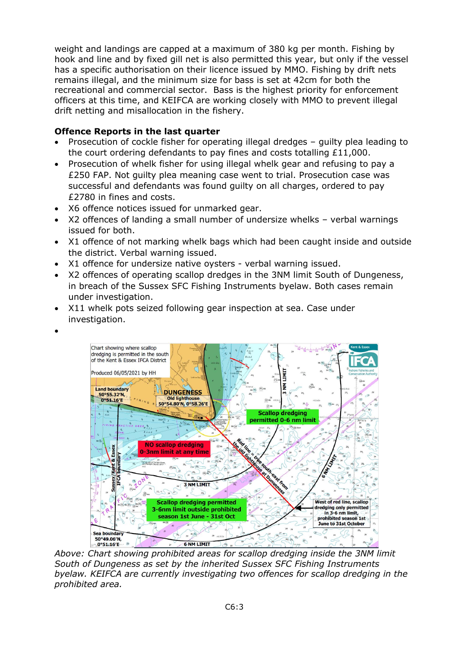weight and landings are capped at a maximum of 380 kg per month. Fishing by hook and line and by fixed gill net is also permitted this year, but only if the vessel has a specific authorisation on their licence issued by MMO. Fishing by drift nets remains illegal, and the minimum size for bass is set at 42cm for both the recreational and commercial sector. Bass is the highest priority for enforcement officers at this time, and KEIFCA are working closely with MMO to prevent illegal drift netting and misallocation in the fishery.

## **Offence Reports in the last quarter**

- Prosecution of cockle fisher for operating illegal dredges guilty plea leading to the court ordering defendants to pay fines and costs totalling £11,000.
- Prosecution of whelk fisher for using illegal whelk gear and refusing to pay a £250 FAP. Not guilty plea meaning case went to trial. Prosecution case was successful and defendants was found guilty on all charges, ordered to pay £2780 in fines and costs.
- X6 offence notices issued for unmarked gear.
- X2 offences of landing a small number of undersize whelks verbal warnings issued for both.
- X1 offence of not marking whelk bags which had been caught inside and outside the district. Verbal warning issued.
- X1 offence for undersize native oysters verbal warning issued.
- X2 offences of operating scallop dredges in the 3NM limit South of Dungeness, in breach of the Sussex SFC Fishing Instruments byelaw. Both cases remain under investigation.
- X11 whelk pots seized following gear inspection at sea. Case under investigation.
- •



*Above: Chart showing prohibited areas for scallop dredging inside the 3NM limit South of Dungeness as set by the inherited Sussex SFC Fishing Instruments byelaw. KEIFCA are currently investigating two offences for scallop dredging in the prohibited area.*